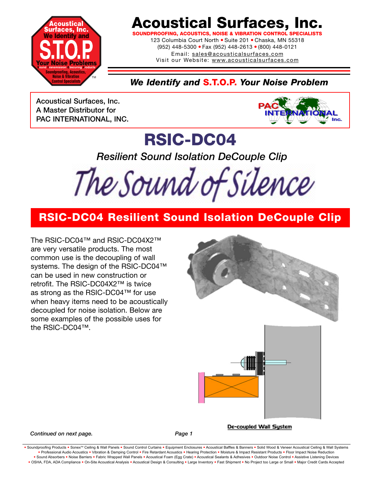

## **Acoustical Surfaces, Inc.**

**SOUNDPROOFING, ACOUSTICS, NOISE & VIBRATION CONTROL SPECIALISTS**

123 Columbia Court North · Suite 201 · Chaska, MN 55318 (952) 448-5300 ● Fax (952) 448-2613 ● (800) 448-0121 Email: sales@acousticalsurfaces.com

Visit our Website: www.acousticalsurfaces.com

### *We Identify and* **S.T.O.P.** *Your Noise Problem*

**Acoustical Surfaces, Inc. A Master Distributor for PAC INTERNATIONAL, INC.**



## **RSIC-DC04**

*Resilient Sound Isolation DeCouple Clip* 

The Sound of Silence

### **RSIC-DC04 Resilient Sound Isolation DeCouple Clip**

The RSIC-DC04™ and RSIC-DC04X2™ are very versatile products. The most common use is the decoupling of wall systems. The design of the RSIC-DC04™ can be used in new construction or retrofit. The RSIC-DC04X2™ is twice as strong as the RSIC-DC04™ for use when heavy items need to be acoustically decoupled for noise isolation. Below are some examples of the possible uses for the RSIC-DC04™.



De-coupled Wall System

#### **Continued on next page.** Page 1

Soundproofing Products . Sonex™ Ceiling & Wall Panels . Sound Control Curtains . Equipment Enclosures . Acoustical Baffles & Banners . Solid Wood & Veneer Acoustical Ceiling & Wall Systems **•** Professional Audio Acoustics **•** Vibration & Damping Control **•** Fire Retardant Acoustics **•** Hearing Protection **•** Moisture & Impact Resistant Products **•** Floor Impact Noise Reduction . Sound Absorbers . Noise Barriers . Fabric Wrapped Wall Panels . Acoustical Foam (Egg Crate) . Acoustical Sealants & Adhesives . Outdoor Noise Control . Assistive Listening Devices . OSHA, FDA, ADA Compliance . On-Site Acoustical Analysis . Acoustical Design & Consulting . Large Inventory . Fast Shipment . No Project too Large or Small . Major Credit Cards Accepted